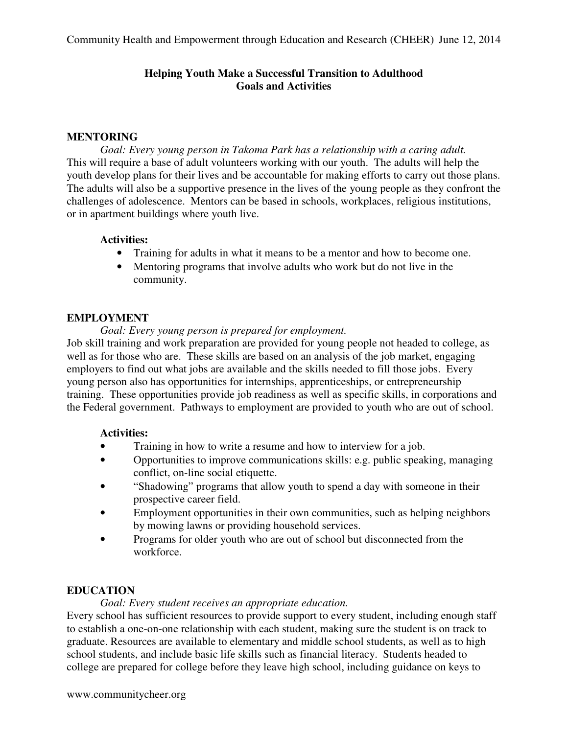# **Helping Youth Make a Successful Transition to Adulthood Goals and Activities**

## **MENTORING**

*Goal: Every young person in Takoma Park has a relationship with a caring adult.*  This will require a base of adult volunteers working with our youth. The adults will help the youth develop plans for their lives and be accountable for making efforts to carry out those plans. The adults will also be a supportive presence in the lives of the young people as they confront the challenges of adolescence. Mentors can be based in schools, workplaces, religious institutions, or in apartment buildings where youth live.

## **Activities:**

- Training for adults in what it means to be a mentor and how to become one.
- Mentoring programs that involve adults who work but do not live in the community.

## **EMPLOYMENT**

*Goal: Every young person is prepared for employment.* 

Job skill training and work preparation are provided for young people not headed to college, as well as for those who are. These skills are based on an analysis of the job market, engaging employers to find out what jobs are available and the skills needed to fill those jobs. Every young person also has opportunities for internships, apprenticeships, or entrepreneurship training. These opportunities provide job readiness as well as specific skills, in corporations and the Federal government. Pathways to employment are provided to youth who are out of school.

# **Activities:**

- Training in how to write a resume and how to interview for a job.
- Opportunities to improve communications skills: e.g. public speaking, managing conflict, on-line social etiquette.
- "Shadowing" programs that allow youth to spend a day with someone in their prospective career field.
- Employment opportunities in their own communities, such as helping neighbors by mowing lawns or providing household services.
- Programs for older youth who are out of school but disconnected from the workforce.

# **EDUCATION**

*Goal: Every student receives an appropriate education.* 

Every school has sufficient resources to provide support to every student, including enough staff to establish a one-on-one relationship with each student, making sure the student is on track to graduate. Resources are available to elementary and middle school students, as well as to high school students, and include basic life skills such as financial literacy. Students headed to college are prepared for college before they leave high school, including guidance on keys to